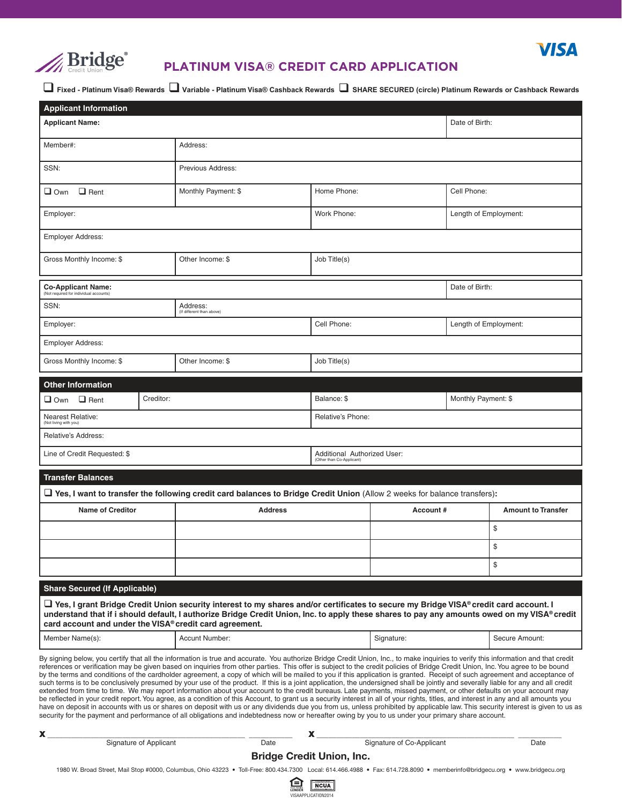

## **PLATINUM VISA® CREDIT CARD APPLICATION**

**VISA** 

q **Fixed - Platinum Visa® Rewards** q **Variable - Platinum Visa® Cashback Rewards SHARE SECURED (circle) Platinum Rewards or Cashback Rewards**

| <b>Applicant Information</b>                                                                                                                                                                                                                                                                                                                                                                                                                                                                                                                                                                                                                                                                                                                                                                                                                                                                                                                                                                                                                                                                                                                                                                                                                                                                                                                                                                                                                        |  |                                       |      |                           |                             |                           |      |
|-----------------------------------------------------------------------------------------------------------------------------------------------------------------------------------------------------------------------------------------------------------------------------------------------------------------------------------------------------------------------------------------------------------------------------------------------------------------------------------------------------------------------------------------------------------------------------------------------------------------------------------------------------------------------------------------------------------------------------------------------------------------------------------------------------------------------------------------------------------------------------------------------------------------------------------------------------------------------------------------------------------------------------------------------------------------------------------------------------------------------------------------------------------------------------------------------------------------------------------------------------------------------------------------------------------------------------------------------------------------------------------------------------------------------------------------------------|--|---------------------------------------|------|---------------------------|-----------------------------|---------------------------|------|
| <b>Applicant Name:</b>                                                                                                                                                                                                                                                                                                                                                                                                                                                                                                                                                                                                                                                                                                                                                                                                                                                                                                                                                                                                                                                                                                                                                                                                                                                                                                                                                                                                                              |  |                                       |      |                           |                             | Date of Birth:            |      |
| Member#:                                                                                                                                                                                                                                                                                                                                                                                                                                                                                                                                                                                                                                                                                                                                                                                                                                                                                                                                                                                                                                                                                                                                                                                                                                                                                                                                                                                                                                            |  | Address:                              |      |                           |                             |                           |      |
| SSN:                                                                                                                                                                                                                                                                                                                                                                                                                                                                                                                                                                                                                                                                                                                                                                                                                                                                                                                                                                                                                                                                                                                                                                                                                                                                                                                                                                                                                                                |  | Previous Address:                     |      |                           |                             |                           |      |
| $\Box$ Rent<br>$\Box$ Own                                                                                                                                                                                                                                                                                                                                                                                                                                                                                                                                                                                                                                                                                                                                                                                                                                                                                                                                                                                                                                                                                                                                                                                                                                                                                                                                                                                                                           |  | Monthly Payment: \$                   |      | Home Phone:               |                             | Cell Phone:               |      |
| Employer:                                                                                                                                                                                                                                                                                                                                                                                                                                                                                                                                                                                                                                                                                                                                                                                                                                                                                                                                                                                                                                                                                                                                                                                                                                                                                                                                                                                                                                           |  |                                       |      | Work Phone:               |                             | Length of Employment:     |      |
| <b>Employer Address:</b>                                                                                                                                                                                                                                                                                                                                                                                                                                                                                                                                                                                                                                                                                                                                                                                                                                                                                                                                                                                                                                                                                                                                                                                                                                                                                                                                                                                                                            |  |                                       |      |                           |                             |                           |      |
| Gross Monthly Income: \$                                                                                                                                                                                                                                                                                                                                                                                                                                                                                                                                                                                                                                                                                                                                                                                                                                                                                                                                                                                                                                                                                                                                                                                                                                                                                                                                                                                                                            |  | Other Income: \$<br>Job Title(s)      |      |                           |                             |                           |      |
| <b>Co-Applicant Name:</b><br>(Not required for individual accounts)                                                                                                                                                                                                                                                                                                                                                                                                                                                                                                                                                                                                                                                                                                                                                                                                                                                                                                                                                                                                                                                                                                                                                                                                                                                                                                                                                                                 |  |                                       |      |                           | Date of Birth:              |                           |      |
| SSN:                                                                                                                                                                                                                                                                                                                                                                                                                                                                                                                                                                                                                                                                                                                                                                                                                                                                                                                                                                                                                                                                                                                                                                                                                                                                                                                                                                                                                                                |  | Address:<br>(If different than above) |      |                           |                             |                           |      |
| Employer:                                                                                                                                                                                                                                                                                                                                                                                                                                                                                                                                                                                                                                                                                                                                                                                                                                                                                                                                                                                                                                                                                                                                                                                                                                                                                                                                                                                                                                           |  |                                       |      | Cell Phone:               |                             | Length of Employment:     |      |
| <b>Employer Address:</b>                                                                                                                                                                                                                                                                                                                                                                                                                                                                                                                                                                                                                                                                                                                                                                                                                                                                                                                                                                                                                                                                                                                                                                                                                                                                                                                                                                                                                            |  |                                       |      |                           |                             |                           |      |
| Gross Monthly Income: \$                                                                                                                                                                                                                                                                                                                                                                                                                                                                                                                                                                                                                                                                                                                                                                                                                                                                                                                                                                                                                                                                                                                                                                                                                                                                                                                                                                                                                            |  | Job Title(s)<br>Other Income: \$      |      |                           |                             |                           |      |
| <b>Other Information</b>                                                                                                                                                                                                                                                                                                                                                                                                                                                                                                                                                                                                                                                                                                                                                                                                                                                                                                                                                                                                                                                                                                                                                                                                                                                                                                                                                                                                                            |  |                                       |      |                           |                             |                           |      |
| Creditor:<br>$\Box$ Own $\Box$ Rent                                                                                                                                                                                                                                                                                                                                                                                                                                                                                                                                                                                                                                                                                                                                                                                                                                                                                                                                                                                                                                                                                                                                                                                                                                                                                                                                                                                                                 |  |                                       |      | Balance: \$               |                             | Monthly Payment: \$       |      |
| <b>Nearest Relative:</b><br>(Not living with you)                                                                                                                                                                                                                                                                                                                                                                                                                                                                                                                                                                                                                                                                                                                                                                                                                                                                                                                                                                                                                                                                                                                                                                                                                                                                                                                                                                                                   |  |                                       |      | Relative's Phone:         |                             |                           |      |
| Relative's Address:                                                                                                                                                                                                                                                                                                                                                                                                                                                                                                                                                                                                                                                                                                                                                                                                                                                                                                                                                                                                                                                                                                                                                                                                                                                                                                                                                                                                                                 |  |                                       |      |                           |                             |                           |      |
| Line of Credit Requested: \$                                                                                                                                                                                                                                                                                                                                                                                                                                                                                                                                                                                                                                                                                                                                                                                                                                                                                                                                                                                                                                                                                                                                                                                                                                                                                                                                                                                                                        |  |                                       |      | (Other than Co-Applicant) | Additional Authorized User: |                           |      |
| <b>Transfer Balances</b>                                                                                                                                                                                                                                                                                                                                                                                                                                                                                                                                                                                                                                                                                                                                                                                                                                                                                                                                                                                                                                                                                                                                                                                                                                                                                                                                                                                                                            |  |                                       |      |                           |                             |                           |      |
| $\Box$ Yes, I want to transfer the following credit card balances to Bridge Credit Union (Allow 2 weeks for balance transfers):                                                                                                                                                                                                                                                                                                                                                                                                                                                                                                                                                                                                                                                                                                                                                                                                                                                                                                                                                                                                                                                                                                                                                                                                                                                                                                                     |  |                                       |      |                           |                             |                           |      |
| <b>Name of Creditor</b>                                                                                                                                                                                                                                                                                                                                                                                                                                                                                                                                                                                                                                                                                                                                                                                                                                                                                                                                                                                                                                                                                                                                                                                                                                                                                                                                                                                                                             |  | <b>Address</b>                        |      | Account#                  |                             | <b>Amount to Transfer</b> |      |
|                                                                                                                                                                                                                                                                                                                                                                                                                                                                                                                                                                                                                                                                                                                                                                                                                                                                                                                                                                                                                                                                                                                                                                                                                                                                                                                                                                                                                                                     |  |                                       |      |                           |                             |                           | \$   |
|                                                                                                                                                                                                                                                                                                                                                                                                                                                                                                                                                                                                                                                                                                                                                                                                                                                                                                                                                                                                                                                                                                                                                                                                                                                                                                                                                                                                                                                     |  |                                       |      |                           |                             | \$                        |      |
|                                                                                                                                                                                                                                                                                                                                                                                                                                                                                                                                                                                                                                                                                                                                                                                                                                                                                                                                                                                                                                                                                                                                                                                                                                                                                                                                                                                                                                                     |  |                                       |      |                           |                             | \$                        |      |
| <b>Share Secured (If Applicable)</b>                                                                                                                                                                                                                                                                                                                                                                                                                                                                                                                                                                                                                                                                                                                                                                                                                                                                                                                                                                                                                                                                                                                                                                                                                                                                                                                                                                                                                |  |                                       |      |                           |                             |                           |      |
| $\Box$ Yes, I grant Bridge Credit Union security interest to my shares and/or certificates to secure my Bridge VISA® credit card account. I<br>understand that if i should default, I authorize Bridge Credit Union, Inc. to apply these shares to pay any amounts owed on my VISA® credit<br>card account and under the VISA® credit card agreement.                                                                                                                                                                                                                                                                                                                                                                                                                                                                                                                                                                                                                                                                                                                                                                                                                                                                                                                                                                                                                                                                                               |  |                                       |      |                           |                             |                           |      |
| Member Name(s):                                                                                                                                                                                                                                                                                                                                                                                                                                                                                                                                                                                                                                                                                                                                                                                                                                                                                                                                                                                                                                                                                                                                                                                                                                                                                                                                                                                                                                     |  | Accunt Number:                        |      | Signature:                |                             | Secure Amount:            |      |
| By signing below, you certify that all the information is true and accurate. You authorize Bridge Credit Union, Inc., to make inquiries to verify this information and that credit<br>references or verification may be given based on inquiries from other parties. This offer is subject to the credit policies of Bridge Credit Union, Inc. You agree to be bound<br>by the terms and conditions of the cardholder agreement, a copy of which will be mailed to you if this application is granted. Receipt of such agreement and acceptance of<br>such terms is to be conclusively presumed by your use of the product. If this is a joint application, the undersigned shall be jointly and severally liable for any and all credit<br>extended from time to time. We may report information about your account to the credit bureaus. Late payments, missed payment, or other defaults on your account may<br>be reflected in your credit report. You agree, as a condition of this Account, to grant us a security interest in all of your rights, titles, and interest in any and all amounts you<br>have on deposit in accounts with us or shares on deposit with us or any dividends due you from us, unless prohibited by applicable law. This security interest is given to us as<br>security for the payment and performance of all obligations and indebtedness now or hereafter owing by you to us under your primary share account. |  |                                       |      |                           |                             |                           |      |
| Х.<br>Signature of Applicant                                                                                                                                                                                                                                                                                                                                                                                                                                                                                                                                                                                                                                                                                                                                                                                                                                                                                                                                                                                                                                                                                                                                                                                                                                                                                                                                                                                                                        |  |                                       | Date | X.                        | Signature of Co-Applicant   |                           | Date |

### Bridge Credit Union, Inc.

1980 W. Broad Street, Mail Stop #0000, Columbus, Ohio 43223 • Toll-Free: 800.434.7300 Local: 614.466.4988 • Fax: 614.728.8090 • memberinfo@bridgecu.org • www.bridgecu.org

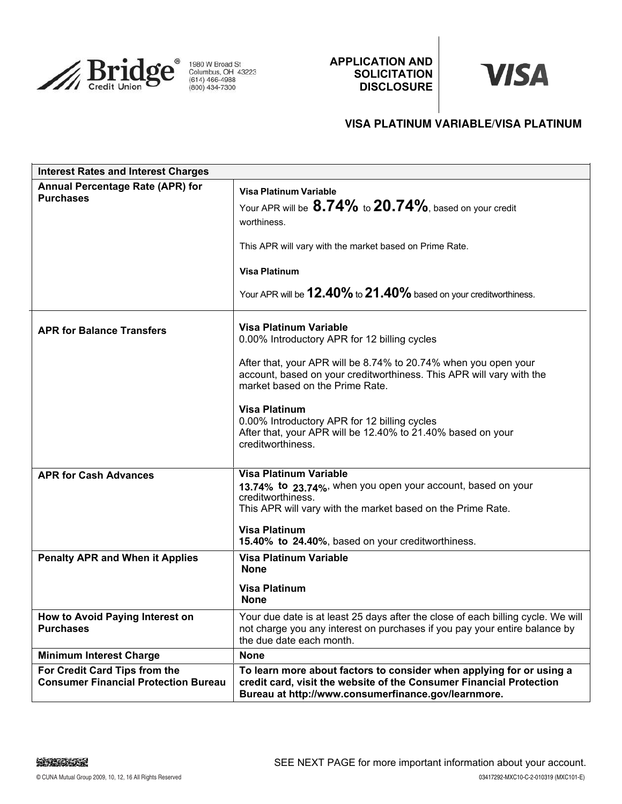

1980 W Broad St<br>Columbus, OH 43223<br>(614) 466-4988<br>(800) 434-7300

**APPLICATION AND SOLICITATION DISCLOSURE**

# **VISA**

### **VISA PLATINUM VARIABLE/VISA PLATINUM**

| <b>Interest Rates and Interest Charges</b>                                   |                                                                                                                                                                                                                                                                                                                                                                                                                         |  |  |  |
|------------------------------------------------------------------------------|-------------------------------------------------------------------------------------------------------------------------------------------------------------------------------------------------------------------------------------------------------------------------------------------------------------------------------------------------------------------------------------------------------------------------|--|--|--|
| <b>Annual Percentage Rate (APR) for</b><br><b>Purchases</b>                  | Visa Platinum Variable<br>Your APR will be 8.74% to 20.74%, based on your credit<br>worthiness.<br>This APR will vary with the market based on Prime Rate.<br><b>Visa Platinum</b><br>Your APR will be 12.40% to 21.40% based on your creditworthiness.                                                                                                                                                                 |  |  |  |
| <b>APR for Balance Transfers</b>                                             | <b>Visa Platinum Variable</b><br>0.00% Introductory APR for 12 billing cycles<br>After that, your APR will be 8.74% to 20.74% when you open your<br>account, based on your creditworthiness. This APR will vary with the<br>market based on the Prime Rate.<br><b>Visa Platinum</b><br>0.00% Introductory APR for 12 billing cycles<br>After that, your APR will be 12.40% to 21.40% based on your<br>creditworthiness. |  |  |  |
| <b>APR for Cash Advances</b><br><b>Penalty APR and When it Applies</b>       | <b>Visa Platinum Variable</b><br>13.74% to 23.74%, when you open your account, based on your<br>creditworthiness.<br>This APR will vary with the market based on the Prime Rate.<br><b>Visa Platinum</b><br>15.40% to 24.40%, based on your creditworthiness.<br>Visa Platinum Variable<br><b>None</b>                                                                                                                  |  |  |  |
|                                                                              | <b>Visa Platinum</b><br><b>None</b>                                                                                                                                                                                                                                                                                                                                                                                     |  |  |  |
| How to Avoid Paying Interest on<br><b>Purchases</b>                          | Your due date is at least 25 days after the close of each billing cycle. We will<br>not charge you any interest on purchases if you pay your entire balance by<br>the due date each month.                                                                                                                                                                                                                              |  |  |  |
| <b>Minimum Interest Charge</b>                                               | <b>None</b>                                                                                                                                                                                                                                                                                                                                                                                                             |  |  |  |
| For Credit Card Tips from the<br><b>Consumer Financial Protection Bureau</b> | To learn more about factors to consider when applying for or using a<br>credit card, visit the website of the Consumer Financial Protection<br>Bureau at http://www.consumerfinance.gov/learnmore.                                                                                                                                                                                                                      |  |  |  |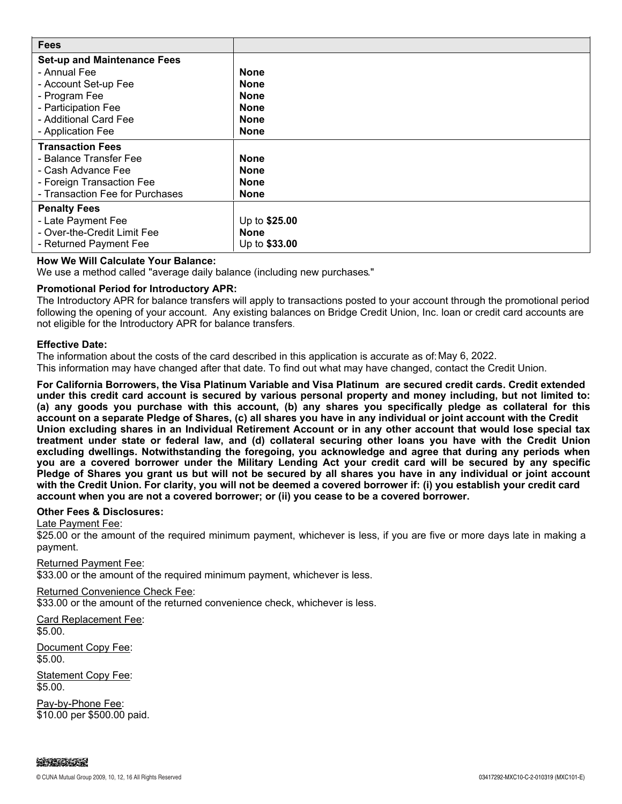| <b>Fees</b>                        |               |
|------------------------------------|---------------|
| <b>Set-up and Maintenance Fees</b> |               |
| - Annual Fee                       | <b>None</b>   |
| - Account Set-up Fee               | <b>None</b>   |
| - Program Fee                      | <b>None</b>   |
| - Participation Fee                | <b>None</b>   |
| - Additional Card Fee              | <b>None</b>   |
| - Application Fee                  | <b>None</b>   |
| <b>Transaction Fees</b>            |               |
| - Balance Transfer Fee             | <b>None</b>   |
| - Cash Advance Fee                 | <b>None</b>   |
| - Foreign Transaction Fee          | <b>None</b>   |
| - Transaction Fee for Purchases    | <b>None</b>   |
| <b>Penalty Fees</b>                |               |
| - Late Payment Fee                 | Up to \$25.00 |
| - Over-the-Credit Limit Fee        | <b>None</b>   |
| - Returned Payment Fee             | Up to \$33.00 |

### **How We Will Calculate Your Balance:**

We use a method called "average daily balance (including new purchases."

### **Promotional Period for Introductory APR:**

The Introductory APR for balance transfers will apply to transactions posted to your account through the promotional period following the opening of your account. Any existing balances on Bridge Credit Union, Inc. loan or credit card accounts are not eligible for the Introductory APR for balance transfers.

### **Effective Date:**

The information about the costs of the card described in this application is accurate as of:May 6, 2022. This information may have changed after that date. To find out what may have changed, contact the Credit Union.

**For California Borrowers, the Visa Platinum Variable and Visa Platinum are secured credit cards. Credit extended under this credit card account is secured by various personal property and money including, but not limited to: (a) any goods you purchase with this account, (b) any shares you specifically pledge as collateral for this account on a separate Pledge of Shares, (c) all shares you have in any individual or joint account with the Credit Union excluding shares in an Individual Retirement Account or in any other account that would lose special tax treatment under state or federal law, and (d) collateral securing other loans you have with the Credit Union excluding dwellings. Notwithstanding the foregoing, you acknowledge and agree that during any periods when you are a covered borrower under the Military Lending Act your credit card will be secured by any specific Pledge of Shares you grant us but will not be secured by all shares you have in any individual or joint account with the Credit Union. For clarity, you will not be deemed a covered borrower if: (i) you establish your credit card account when you are not a covered borrower; or (ii) you cease to be a covered borrower.**

### **Other Fees & Disclosures:**

Late Payment Fee:

\$25.00 or the amount of the required minimum payment, whichever is less, if you are five or more days late in making a payment.

Returned Payment Fee: \$33.00 or the amount of the required minimum payment, whichever is less.

Returned Convenience Check Fee:

\$33.00 or the amount of the returned convenience check, whichever is less.

Card Replacement Fee: \$5.00.

Document Copy Fee: \$5.00.

**Statement Copy Fee:** \$5.00.

Pay-by-Phone Fee: \$10.00 per \$500.00 paid.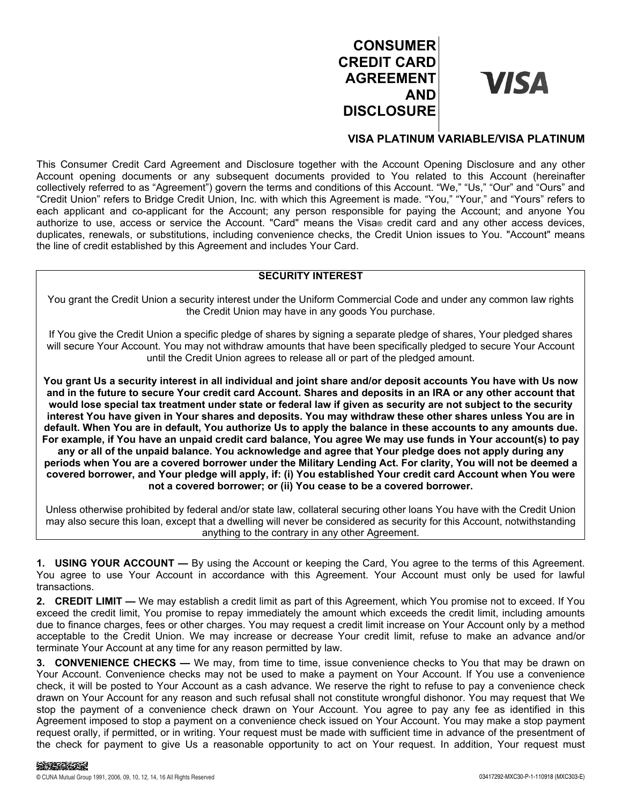## **CONSUMER CREDIT CARD AGREEMENT AND DISCLOSURE**

## **VISA**

### **VISA PLATINUM VARIABLE/VISA PLATINUM**

This Consumer Credit Card Agreement and Disclosure together with the Account Opening Disclosure and any other Account opening documents or any subsequent documents provided to You related to this Account (hereinafter collectively referred to as "Agreement") govern the terms and conditions of this Account. "We," "Us," "Our" and "Ours" and "Credit Union" refers to Bridge Credit Union, Inc. with which this Agreement is made. "You," "Your," and "Yours" refers to each applicant and co-applicant for the Account; any person responsible for paying the Account; and anyone You authorize to use, access or service the Account. "Card" means the Visa® credit card and any other access devices, duplicates, renewals, or substitutions, including convenience checks, the Credit Union issues to You. "Account" means the line of credit established by this Agreement and includes Your Card.

### **SECURITY INTEREST**

You grant the Credit Union a security interest under the Uniform Commercial Code and under any common law rights the Credit Union may have in any goods You purchase.

If You give the Credit Union a specific pledge of shares by signing a separate pledge of shares, Your pledged shares will secure Your Account. You may not withdraw amounts that have been specifically pledged to secure Your Account until the Credit Union agrees to release all or part of the pledged amount.

**You grant Us a security interest in all individual and joint share and/or deposit accounts You have with Us now and in the future to secure Your credit card Account. Shares and deposits in an IRA or any other account that would lose special tax treatment under state or federal law if given as security are not subject to the security interest You have given in Your shares and deposits. You may withdraw these other shares unless You are in default. When You are in default, You authorize Us to apply the balance in these accounts to any amounts due. For example, if You have an unpaid credit card balance, You agree We may use funds in Your account(s) to pay any or all of the unpaid balance. You acknowledge and agree that Your pledge does not apply during any periods when You are a covered borrower under the Military Lending Act. For clarity, You will not be deemed a covered borrower, and Your pledge will apply, if: (i) You established Your credit card Account when You were not a covered borrower; or (ii) You cease to be a covered borrower.**

Unless otherwise prohibited by federal and/or state law, collateral securing other loans You have with the Credit Union may also secure this loan, except that a dwelling will never be considered as security for this Account, notwithstanding anything to the contrary in any other Agreement.

**1. USING YOUR ACCOUNT —** By using the Account or keeping the Card, You agree to the terms of this Agreement. You agree to use Your Account in accordance with this Agreement. Your Account must only be used for lawful transactions.

**2. CREDIT LIMIT —** We may establish a credit limit as part of this Agreement, which You promise not to exceed. If You exceed the credit limit, You promise to repay immediately the amount which exceeds the credit limit, including amounts due to finance charges, fees or other charges. You may request a credit limit increase on Your Account only by a method acceptable to the Credit Union. We may increase or decrease Your credit limit, refuse to make an advance and/or terminate Your Account at any time for any reason permitted by law.

**3. CONVENIENCE CHECKS —** We may, from time to time, issue convenience checks to You that may be drawn on Your Account. Convenience checks may not be used to make a payment on Your Account. If You use a convenience check, it will be posted to Your Account as a cash advance. We reserve the right to refuse to pay a convenience check drawn on Your Account for any reason and such refusal shall not constitute wrongful dishonor. You may request that We stop the payment of a convenience check drawn on Your Account. You agree to pay any fee as identified in this Agreement imposed to stop a payment on a convenience check issued on Your Account. You may make a stop payment request orally, if permitted, or in writing. Your request must be made with sufficient time in advance of the presentment of the check for payment to give Us a reasonable opportunity to act on Your request. In addition, Your request must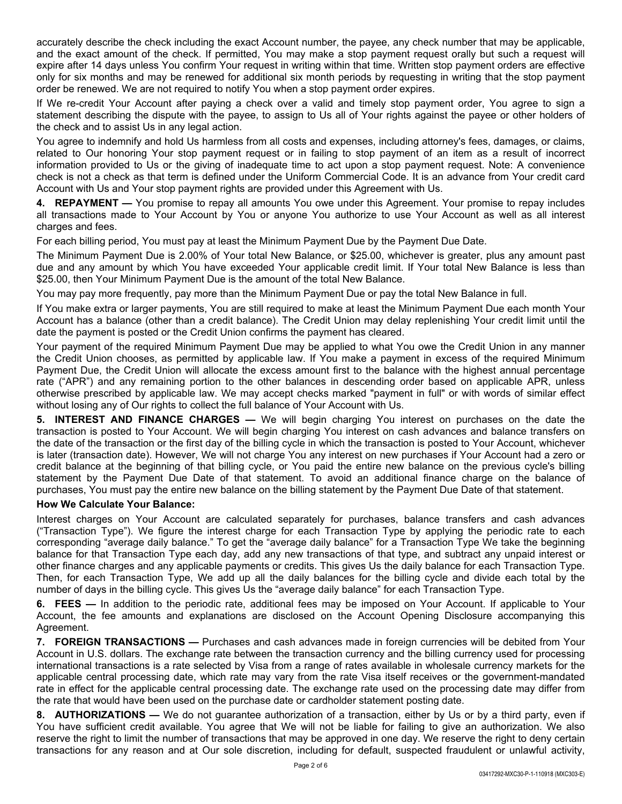accurately describe the check including the exact Account number, the payee, any check number that may be applicable, and the exact amount of the check. If permitted, You may make a stop payment request orally but such a request will expire after 14 days unless You confirm Your request in writing within that time. Written stop payment orders are effective only for six months and may be renewed for additional six month periods by requesting in writing that the stop payment order be renewed. We are not required to notify You when a stop payment order expires.

If We re-credit Your Account after paying a check over a valid and timely stop payment order, You agree to sign a statement describing the dispute with the payee, to assign to Us all of Your rights against the payee or other holders of the check and to assist Us in any legal action.

You agree to indemnify and hold Us harmless from all costs and expenses, including attorney's fees, damages, or claims, related to Our honoring Your stop payment request or in failing to stop payment of an item as a result of incorrect information provided to Us or the giving of inadequate time to act upon a stop payment request. Note: A convenience check is not a check as that term is defined under the Uniform Commercial Code. It is an advance from Your credit card Account with Us and Your stop payment rights are provided under this Agreement with Us.

**4. REPAYMENT —** You promise to repay all amounts You owe under this Agreement. Your promise to repay includes all transactions made to Your Account by You or anyone You authorize to use Your Account as well as all interest charges and fees.

For each billing period, You must pay at least the Minimum Payment Due by the Payment Due Date.

The Minimum Payment Due is 2.00% of Your total New Balance, or \$25.00, whichever is greater, plus any amount past due and any amount by which You have exceeded Your applicable credit limit. If Your total New Balance is less than \$25.00, then Your Minimum Payment Due is the amount of the total New Balance.

You may pay more frequently, pay more than the Minimum Payment Due or pay the total New Balance in full.

If You make extra or larger payments, You are still required to make at least the Minimum Payment Due each month Your Account has a balance (other than a credit balance). The Credit Union may delay replenishing Your credit limit until the date the payment is posted or the Credit Union confirms the payment has cleared.

Your payment of the required Minimum Payment Due may be applied to what You owe the Credit Union in any manner the Credit Union chooses, as permitted by applicable law. If You make a payment in excess of the required Minimum Payment Due, the Credit Union will allocate the excess amount first to the balance with the highest annual percentage rate ("APR") and any remaining portion to the other balances in descending order based on applicable APR, unless otherwise prescribed by applicable law. We may accept checks marked "payment in full" or with words of similar effect without losing any of Our rights to collect the full balance of Your Account with Us.

**5. INTEREST AND FINANCE CHARGES —** We will begin charging You interest on purchases on the date the transaction is posted to Your Account. We will begin charging You interest on cash advances and balance transfers on the date of the transaction or the first day of the billing cycle in which the transaction is posted to Your Account, whichever is later (transaction date). However, We will not charge You any interest on new purchases if Your Account had a zero or credit balance at the beginning of that billing cycle, or You paid the entire new balance on the previous cycle's billing statement by the Payment Due Date of that statement. To avoid an additional finance charge on the balance of purchases, You must pay the entire new balance on the billing statement by the Payment Due Date of that statement.

### **How We Calculate Your Balance:**

Interest charges on Your Account are calculated separately for purchases, balance transfers and cash advances ("Transaction Type"). We figure the interest charge for each Transaction Type by applying the periodic rate to each corresponding "average daily balance." To get the "average daily balance" for a Transaction Type We take the beginning balance for that Transaction Type each day, add any new transactions of that type, and subtract any unpaid interest or other finance charges and any applicable payments or credits. This gives Us the daily balance for each Transaction Type. Then, for each Transaction Type, We add up all the daily balances for the billing cycle and divide each total by the number of days in the billing cycle. This gives Us the "average daily balance" for each Transaction Type.

**6. FEES —** In addition to the periodic rate, additional fees may be imposed on Your Account. If applicable to Your Account, the fee amounts and explanations are disclosed on the Account Opening Disclosure accompanying this Agreement.

**7. FOREIGN TRANSACTIONS —** Purchases and cash advances made in foreign currencies will be debited from Your Account in U.S. dollars. The exchange rate between the transaction currency and the billing currency used for processing international transactions is a rate selected by Visa from a range of rates available in wholesale currency markets for the applicable central processing date, which rate may vary from the rate Visa itself receives or the government-mandated rate in effect for the applicable central processing date. The exchange rate used on the processing date may differ from the rate that would have been used on the purchase date or cardholder statement posting date.

**8. AUTHORIZATIONS —** We do not guarantee authorization of a transaction, either by Us or by a third party, even if You have sufficient credit available. You agree that We will not be liable for failing to give an authorization. We also reserve the right to limit the number of transactions that may be approved in one day. We reserve the right to deny certain transactions for any reason and at Our sole discretion, including for default, suspected fraudulent or unlawful activity,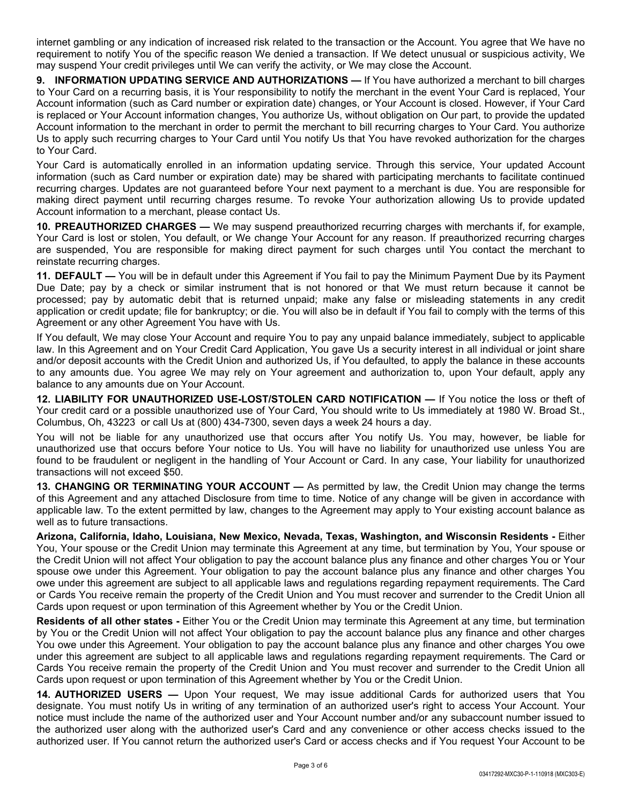internet gambling or any indication of increased risk related to the transaction or the Account. You agree that We have no requirement to notify You of the specific reason We denied a transaction. If We detect unusual or suspicious activity, We may suspend Your credit privileges until We can verify the activity, or We may close the Account.

**9. INFORMATION UPDATING SERVICE AND AUTHORIZATIONS —** If You have authorized a merchant to bill charges to Your Card on a recurring basis, it is Your responsibility to notify the merchant in the event Your Card is replaced, Your Account information (such as Card number or expiration date) changes, or Your Account is closed. However, if Your Card is replaced or Your Account information changes, You authorize Us, without obligation on Our part, to provide the updated Account information to the merchant in order to permit the merchant to bill recurring charges to Your Card. You authorize Us to apply such recurring charges to Your Card until You notify Us that You have revoked authorization for the charges to Your Card.

Your Card is automatically enrolled in an information updating service. Through this service, Your updated Account information (such as Card number or expiration date) may be shared with participating merchants to facilitate continued recurring charges. Updates are not guaranteed before Your next payment to a merchant is due. You are responsible for making direct payment until recurring charges resume. To revoke Your authorization allowing Us to provide updated Account information to a merchant, please contact Us.

**10. PREAUTHORIZED CHARGES —** We may suspend preauthorized recurring charges with merchants if, for example, Your Card is lost or stolen, You default, or We change Your Account for any reason. If preauthorized recurring charges are suspended, You are responsible for making direct payment for such charges until You contact the merchant to reinstate recurring charges.

**11. DEFAULT —** You will be in default under this Agreement if You fail to pay the Minimum Payment Due by its Payment Due Date; pay by a check or similar instrument that is not honored or that We must return because it cannot be processed; pay by automatic debit that is returned unpaid; make any false or misleading statements in any credit application or credit update; file for bankruptcy; or die. You will also be in default if You fail to comply with the terms of this Agreement or any other Agreement You have with Us.

If You default, We may close Your Account and require You to pay any unpaid balance immediately, subject to applicable law. In this Agreement and on Your Credit Card Application, You gave Us a security interest in all individual or joint share and/or deposit accounts with the Credit Union and authorized Us, if You defaulted, to apply the balance in these accounts to any amounts due. You agree We may rely on Your agreement and authorization to, upon Your default, apply any balance to any amounts due on Your Account.

**12. LIABILITY FOR UNAUTHORIZED USE-LOST/STOLEN CARD NOTIFICATION —** If You notice the loss or theft of Your credit card or a possible unauthorized use of Your Card, You should write to Us immediately at 1980 W. Broad St., Columbus, Oh, 43223 or call Us at (800) 434-7300, seven days a week 24 hours a day.

You will not be liable for any unauthorized use that occurs after You notify Us. You may, however, be liable for unauthorized use that occurs before Your notice to Us. You will have no liability for unauthorized use unless You are found to be fraudulent or negligent in the handling of Your Account or Card. In any case, Your liability for unauthorized transactions will not exceed \$50.

**13. CHANGING OR TERMINATING YOUR ACCOUNT —** As permitted by law, the Credit Union may change the terms of this Agreement and any attached Disclosure from time to time. Notice of any change will be given in accordance with applicable law. To the extent permitted by law, changes to the Agreement may apply to Your existing account balance as well as to future transactions.

**Arizona, California, Idaho, Louisiana, New Mexico, Nevada, Texas, Washington, and Wisconsin Residents -** Either You, Your spouse or the Credit Union may terminate this Agreement at any time, but termination by You, Your spouse or the Credit Union will not affect Your obligation to pay the account balance plus any finance and other charges You or Your spouse owe under this Agreement. Your obligation to pay the account balance plus any finance and other charges You owe under this agreement are subject to all applicable laws and regulations regarding repayment requirements. The Card or Cards You receive remain the property of the Credit Union and You must recover and surrender to the Credit Union all Cards upon request or upon termination of this Agreement whether by You or the Credit Union.

**Residents of all other states -** Either You or the Credit Union may terminate this Agreement at any time, but termination by You or the Credit Union will not affect Your obligation to pay the account balance plus any finance and other charges You owe under this Agreement. Your obligation to pay the account balance plus any finance and other charges You owe under this agreement are subject to all applicable laws and regulations regarding repayment requirements. The Card or Cards You receive remain the property of the Credit Union and You must recover and surrender to the Credit Union all Cards upon request or upon termination of this Agreement whether by You or the Credit Union.

**14. AUTHORIZED USERS —** Upon Your request, We may issue additional Cards for authorized users that You designate. You must notify Us in writing of any termination of an authorized user's right to access Your Account. Your notice must include the name of the authorized user and Your Account number and/or any subaccount number issued to the authorized user along with the authorized user's Card and any convenience or other access checks issued to the authorized user. If You cannot return the authorized user's Card or access checks and if You request Your Account to be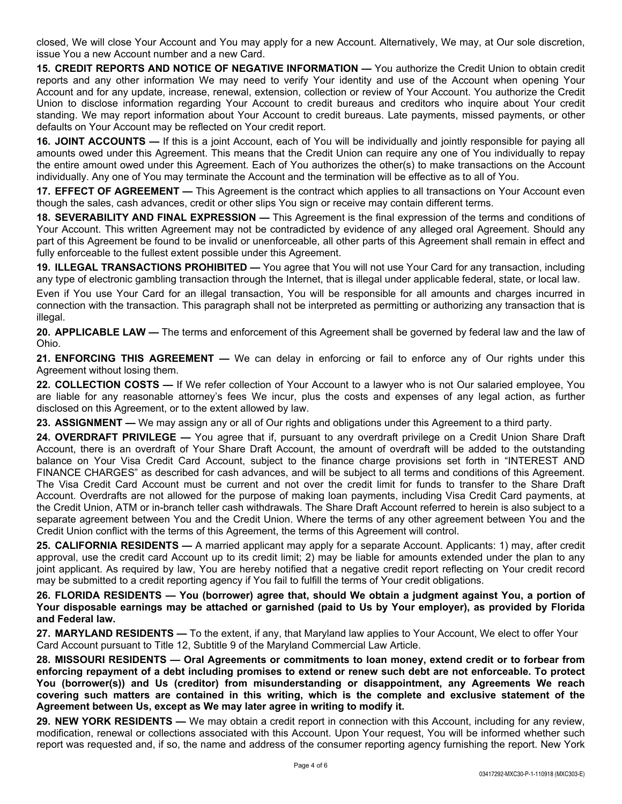closed, We will close Your Account and You may apply for a new Account. Alternatively, We may, at Our sole discretion, issue You a new Account number and a new Card.

**15. CREDIT REPORTS AND NOTICE OF NEGATIVE INFORMATION —** You authorize the Credit Union to obtain credit reports and any other information We may need to verify Your identity and use of the Account when opening Your Account and for any update, increase, renewal, extension, collection or review of Your Account. You authorize the Credit Union to disclose information regarding Your Account to credit bureaus and creditors who inquire about Your credit standing. We may report information about Your Account to credit bureaus. Late payments, missed payments, or other defaults on Your Account may be reflected on Your credit report.

**16. JOINT ACCOUNTS —** If this is a joint Account, each of You will be individually and jointly responsible for paying all amounts owed under this Agreement. This means that the Credit Union can require any one of You individually to repay the entire amount owed under this Agreement. Each of You authorizes the other(s) to make transactions on the Account individually. Any one of You may terminate the Account and the termination will be effective as to all of You.

**17. EFFECT OF AGREEMENT —** This Agreement is the contract which applies to all transactions on Your Account even though the sales, cash advances, credit or other slips You sign or receive may contain different terms.

**18. SEVERABILITY AND FINAL EXPRESSION —** This Agreement is the final expression of the terms and conditions of Your Account. This written Agreement may not be contradicted by evidence of any alleged oral Agreement. Should any part of this Agreement be found to be invalid or unenforceable, all other parts of this Agreement shall remain in effect and fully enforceable to the fullest extent possible under this Agreement.

**19. ILLEGAL TRANSACTIONS PROHIBITED —** You agree that You will not use Your Card for any transaction, including any type of electronic gambling transaction through the Internet, that is illegal under applicable federal, state, or local law.

Even if You use Your Card for an illegal transaction, You will be responsible for all amounts and charges incurred in connection with the transaction. This paragraph shall not be interpreted as permitting or authorizing any transaction that is illegal.

**20. APPLICABLE LAW —** The terms and enforcement of this Agreement shall be governed by federal law and the law of Ohio.

**21. ENFORCING THIS AGREEMENT —** We can delay in enforcing or fail to enforce any of Our rights under this Agreement without losing them.

**22. COLLECTION COSTS —** If We refer collection of Your Account to a lawyer who is not Our salaried employee, You are liable for any reasonable attorney's fees We incur, plus the costs and expenses of any legal action, as further disclosed on this Agreement, or to the extent allowed by law.

**23. ASSIGNMENT —** We may assign any or all of Our rights and obligations under this Agreement to a third party.

**24. OVERDRAFT PRIVILEGE —** You agree that if, pursuant to any overdraft privilege on a Credit Union Share Draft Account, there is an overdraft of Your Share Draft Account, the amount of overdraft will be added to the outstanding balance on Your Visa Credit Card Account, subject to the finance charge provisions set forth in "INTEREST AND FINANCE CHARGES" as described for cash advances, and will be subject to all terms and conditions of this Agreement. The Visa Credit Card Account must be current and not over the credit limit for funds to transfer to the Share Draft Account. Overdrafts are not allowed for the purpose of making loan payments, including Visa Credit Card payments, at the Credit Union, ATM or in-branch teller cash withdrawals. The Share Draft Account referred to herein is also subject to a separate agreement between You and the Credit Union. Where the terms of any other agreement between You and the Credit Union conflict with the terms of this Agreement, the terms of this Agreement will control.

**25. CALIFORNIA RESIDENTS —** A married applicant may apply for a separate Account. Applicants: 1) may, after credit approval, use the credit card Account up to its credit limit; 2) may be liable for amounts extended under the plan to any joint applicant. As required by law, You are hereby notified that a negative credit report reflecting on Your credit record may be submitted to a credit reporting agency if You fail to fulfill the terms of Your credit obligations.

**26. FLORIDA RESIDENTS — You (borrower) agree that, should We obtain a judgment against You, a portion of Your disposable earnings may be attached or garnished (paid to Us by Your employer), as provided by Florida and Federal law.**

**27. MARYLAND RESIDENTS —** To the extent, if any, that Maryland law applies to Your Account, We elect to offer Your Card Account pursuant to Title 12, Subtitle 9 of the Maryland Commercial Law Article.

**28. MISSOURI RESIDENTS — Oral Agreements or commitments to loan money, extend credit or to forbear from enforcing repayment of a debt including promises to extend or renew such debt are not enforceable. To protect You (borrower(s)) and Us (creditor) from misunderstanding or disappointment, any Agreements We reach covering such matters are contained in this writing, which is the complete and exclusive statement of the Agreement between Us, except as We may later agree in writing to modify it.**

**29. NEW YORK RESIDENTS —** We may obtain a credit report in connection with this Account, including for any review, modification, renewal or collections associated with this Account. Upon Your request, You will be informed whether such report was requested and, if so, the name and address of the consumer reporting agency furnishing the report. New York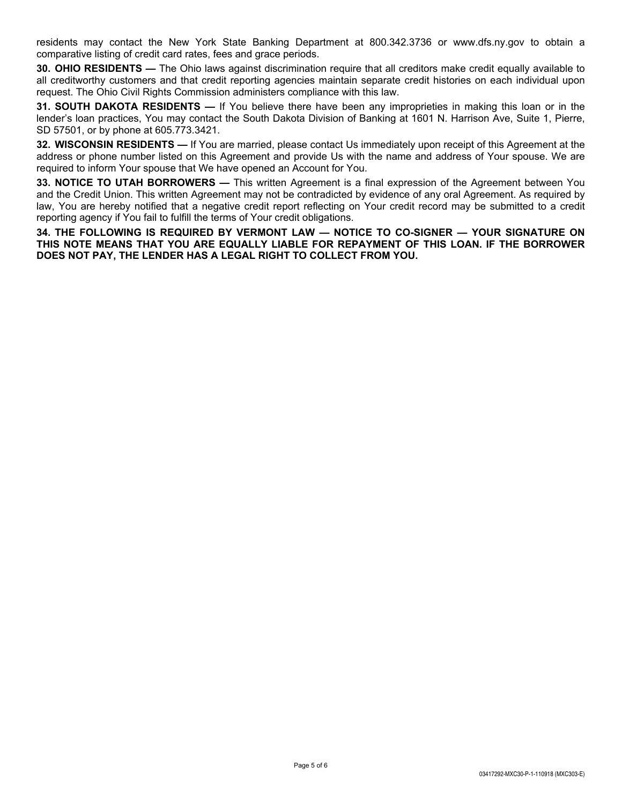residents may contact the New York State Banking Department at 800.342.3736 or www.dfs.ny.gov to obtain a comparative listing of credit card rates, fees and grace periods.

**30. OHIO RESIDENTS —** The Ohio laws against discrimination require that all creditors make credit equally available to all creditworthy customers and that credit reporting agencies maintain separate credit histories on each individual upon request. The Ohio Civil Rights Commission administers compliance with this law.

**31. SOUTH DAKOTA RESIDENTS —** If You believe there have been any improprieties in making this loan or in the lender's loan practices, You may contact the South Dakota Division of Banking at 1601 N. Harrison Ave, Suite 1, Pierre, SD 57501, or by phone at 605.773.3421.

**32. WISCONSIN RESIDENTS —** If You are married, please contact Us immediately upon receipt of this Agreement at the address or phone number listed on this Agreement and provide Us with the name and address of Your spouse. We are required to inform Your spouse that We have opened an Account for You.

**33. NOTICE TO UTAH BORROWERS —** This written Agreement is a final expression of the Agreement between You and the Credit Union. This written Agreement may not be contradicted by evidence of any oral Agreement. As required by law, You are hereby notified that a negative credit report reflecting on Your credit record may be submitted to a credit reporting agency if You fail to fulfill the terms of Your credit obligations.

**34. THE FOLLOWING IS REQUIRED BY VERMONT LAW — NOTICE TO CO-SIGNER — YOUR SIGNATURE ON THIS NOTE MEANS THAT YOU ARE EQUALLY LIABLE FOR REPAYMENT OF THIS LOAN. IF THE BORROWER DOES NOT PAY, THE LENDER HAS A LEGAL RIGHT TO COLLECT FROM YOU.**